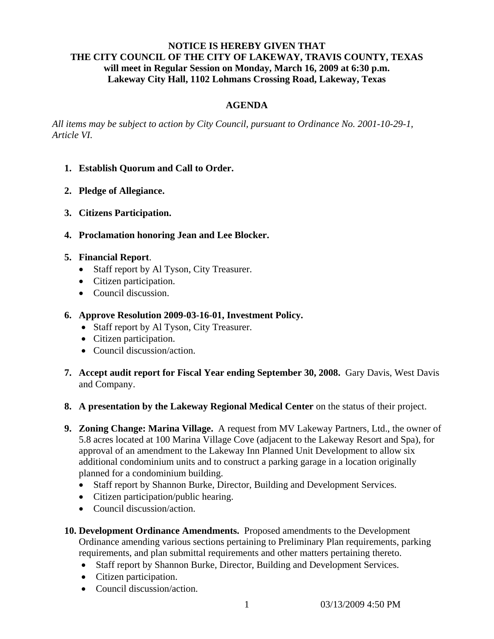# **NOTICE IS HEREBY GIVEN THAT THE CITY COUNCIL OF THE CITY OF LAKEWAY, TRAVIS COUNTY, TEXAS will meet in Regular Session on Monday, March 16, 2009 at 6:30 p.m. Lakeway City Hall, 1102 Lohmans Crossing Road, Lakeway, Texas**

# **AGENDA**

*All items may be subject to action by City Council, pursuant to Ordinance No. 2001-10-29-1, Article VI.* 

- **1. Establish Quorum and Call to Order.**
- **2. Pledge of Allegiance.**
- **3. Citizens Participation.**
- **4. Proclamation honoring Jean and Lee Blocker.**
- **5. Financial Report**.
	- Staff report by Al Tyson, City Treasurer.
	- Citizen participation.
	- Council discussion.
- **6. Approve Resolution 2009-03-16-01, Investment Policy.**
	- Staff report by Al Tyson, City Treasurer.
	- Citizen participation.
	- Council discussion/action.
- **7. Accept audit report for Fiscal Year ending September 30, 2008.** Gary Davis, West Davis and Company.
- **8. A presentation by the Lakeway Regional Medical Center** on the status of their project.
- **9. Zoning Change: Marina Village.** A request from MV Lakeway Partners, Ltd., the owner of 5.8 acres located at 100 Marina Village Cove (adjacent to the Lakeway Resort and Spa), for approval of an amendment to the Lakeway Inn Planned Unit Development to allow six additional condominium units and to construct a parking garage in a location originally planned for a condominium building.
	- Staff report by Shannon Burke, Director, Building and Development Services.
	- Citizen participation/public hearing.
	- Council discussion/action.
- **10. Development Ordinance Amendments.** Proposed amendments to the Development Ordinance amending various sections pertaining to Preliminary Plan requirements, parking requirements, and plan submittal requirements and other matters pertaining thereto.
	- Staff report by Shannon Burke, Director, Building and Development Services.
	- Citizen participation.
	- Council discussion/action.